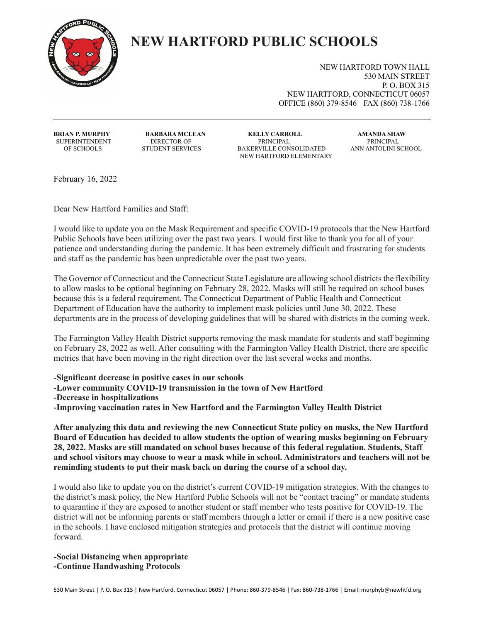

## **NEW HARTFORD PUBLIC SCHOOLS**

NEW HARTFORD TOWN HALL 530 MAIN STREET P. O. BOX 315 NEW HARTFORD, CONNECTICUT 06057 OFFICE (860) 379-8546 FAX (860) 738-1766

SUPERINTENDENT

**BRIAN P. MURPHY BARBARA MCLEAN KELLY CARROLL AMANDA SHAW** OF SCHOOLS STUDENT SERVICES BAKERVILLE CONSOLIDATED ANN ANTOLINI SCHOOL NEW HARTFORD ELEMENTARY

February 16, 2022

Dear New Hartford Families and Staff:

I would like to update you on the Mask Requirement and specific COVID-19 protocols that the New Hartford Public Schools have been utilizing over the past two years. I would first like to thank you for all of your patience and understanding during the pandemic. It has been extremely difficult and frustrating for students and staff as the pandemic has been unpredictable over the past two years.

The Governor of Connecticut and the Connecticut State Legislature are allowing school districts the flexibility to allow masks to be optional beginning on February 28, 2022. Masks will still be required on school buses because this is a federal requirement. The Connecticut Department of Public Health and Connecticut Department of Education have the authority to implement mask policies until June 30, 2022. These departments are in the process of developing guidelines that will be shared with districts in the coming week.

The Farmington Valley Health District supports removing the mask mandate for students and staff beginning on February 28, 2022 as well. After consulting with the Farmington Valley Health District, there are specific metrics that have been moving in the right direction over the last several weeks and months.

**-Significant decrease in positive cases in our schools**

**-Lower community COVID-19 transmission in the town of New Hartford**

**-Decrease in hospitalizations** 

**-Improving vaccination rates in New Hartford and the Farmington Valley Health District** 

**After analyzing this data and reviewing the new Connecticut State policy on masks, the New Hartford Board of Education has decided to allow students the option of wearing masks beginning on February 28, 2022. Masks are still mandated on school buses because of this federal regulation. Students, Staff and school visitors may choose to wear a mask while in school. Administrators and teachers will not be reminding students to put their mask back on during the course of a school day.** 

I would also like to update you on the district's current COVID-19 mitigation strategies. With the changes to the district's mask policy, the New Hartford Public Schools will not be "contact tracing" or mandate students to quarantine if they are exposed to another student or staff member who tests positive for COVID-19. The district will not be informing parents or staff members through a letter or email if there is a new positive case in the schools. I have enclosed mitigation strategies and protocols that the district will continue moving forward.

**-Social Distancing when appropriate -Continue Handwashing Protocols**